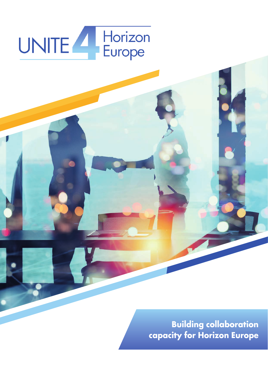# UNITE Horizon

**Building collaboration capacity for Horizon Europe**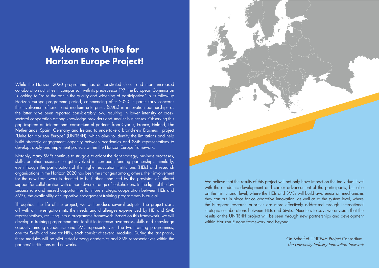### **Welcome to Unite for Horizon Europe Project!**

While the Horizon 2020 programme has demonstrated closer and more increased collaboration activities in comparison with its predecessor FP7, the European Commission is looking to "raise the bar in the quality and widening of participation" in its follow-up Horizon Europe programme period, commencing after 2020. It particularly concerns the involvement of small and medium enterprises (SMEs) in innovation partnerships as the latter have been reported considerably low, resulting in lower intensity of crosssectoral cooperation among knowledge providers and smaller businesses. Observing this gap inspired an international consortium of partners from Cyprus, France, Finland, The Netherlands, Spain, Germany and Ireland to undertake a brand-new Erasmus+ project "Unite for Horizon Europe" (UNITE4H), which aims to identify the limitations and help build strategic engagement capacity between academics and SME representatives to develop, apply and implement projects within the Horizon Europe framework.

Notably, many SMEs continue to struggle to adopt the right strategy, business processes, skills, or other resources to get involved in European funding partnerships. Similarly, even though the participation of the higher education institutions (HEIs) and research organisations in the Horizon 2020 has been the strongest among others, their involvement for the new framework is deemed to be further enhanced by the provision of tailored support for collaboration with a more diverse range of stakeholders. In the light of the low success rate and missed opportunities for more strategic cooperation between HEIs and SMEs, the availability of supportive engagement training programmes is crucial.

Throughout the life of the project, we will produce several outputs. The project starts off with an investigation into the needs and challenges experienced by HEI and SME representatives, resulting into a programme framework. Based on this framework, we will develop a training programme and toolkit to increase awareness, skills and knowledge capacity among academics and SME representatives. The two training programmes, one for SMEs and one for HEIs, each consist of several modules. During the last phase, these modules will be pilot tested among academics and SME representatives within the partners' institutions and networks.



We believe that the results of this project will not only have impact on the individual level with the academic development and career advancement of the participants, but also on the institutional level, where the HEIs and SMEs will build awareness on mechanisms they can put in place for collaborative innovation, as well as at the system level, where the European research priorities are more effectively addressed through international strategic collaborations between HEIs and SMEs. Needless to say, we envision that the results of the UNITE4H project will be seen through new partnerships and development within Horizon Europe framework and beyond.

> On Behalf of UNITE4H Project Consortium, The University Industry Innovation Network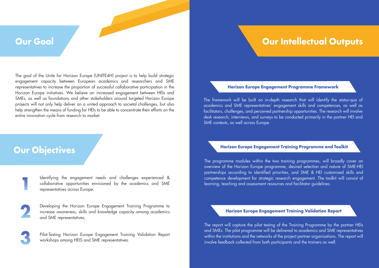### **Our Goal**

The goal of the Unite for Horizon Europe (UNITE4H) project is to help build strategic engagement capacity between European academics and researchers and SME representatives to increase the proportion of successful collaborative participation in the Horizon Europe initiatives. We believe an increased engagement between HEIs and SMEs, as well as foundations and other stakeholders around targeted Horizon Europe projects will not only help deliver on a united approach to societal challenges, but also help strengthen the means of funding for HEIs to be able to concentrate their efforts on the entire innovation cycle from research to market.

> Identifying the engagement needs and challenges experienced & collaborative opportunities envisioned by the academics and SME representatives across Europe;

> Developing the Horizon Europe Engagement Training Programme to increase awareness, skills and knowledge capacity among academics and SME representatives;

> Pilot-Testing Horizon Europe Engagement Training Validation Report workshops among HEIS and SME representatives.

**1**



**3**

The framework will be built on in-depth research that will identify the status-quo of academics and SME representatives' engagement skills and competences, as well as facilitators, challenges, and perceived partnership opportunities. The research will involve desk research, interviews, and surveys to be conducted primarily in the partner HEI and SME contexts, as well across Europe.

The report will capture the pilot testing of the Training Programme by the partner HEIs and SMEs. The pilot programme will be delivered to academics and SME representatives within the institutions and the networks of the project partner organisations. The report will involve feedback collected from both participants and the trainers as well.

The programme modules within the two training programmes, will broadly cover an overview of the Horizon Europe programme, desired selection and nature of SME-HEI partnerships according to identified priorities, and SME & HEI customised skills and competence development for strategic research engagement. The toolkit will consist of learning, teaching and assessment resources and facilitator guidelines.

#### **Horizon Europe Engagement Programme Framework**

#### **Horizon Europe Engagement Training Programme and Toolkit**

#### **Horizon Europe Engagement Training Validation Report**

### **Our Intellectual Outputs**

### **Our Objectives**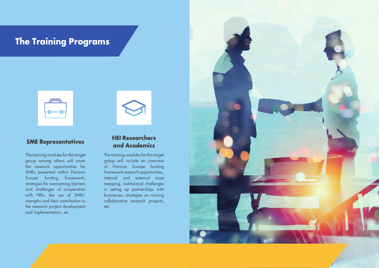### **The Training Programs**

| $\sqrt{2}$ |  |
|------------|--|
|            |  |
|            |  |

The training modules for this target group among others will cover the research opportunities for SMEs presented within Horizon Europe funding framework, strategies for overcoming barriers and challenges of cooperation with HEIs, the use of SMEs' strengths and their contribution to the research project development and implementation, etc.



The training modules for this target group will include an overview of Horizon Europe funding framework research opportunities, internal and external asset mapping, institutional challenges in setting up partnerships with businesses, strategies on running collaborative research projects, etc.



#### **SME Representatives HEI Researchers and Academics**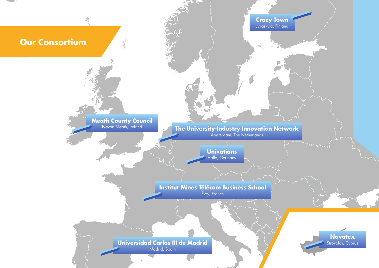**Universidad Carlos III de Madrid** Madrid, Spain



#### **Institut Mines Télécom Business School** Évry, France

**Univations** Halle, Germany

Navan Meath, Ireland **The University-Industry Innovation Network** Amsterdam, The Netherlands

 $\mu_{\rm{B}}^{\rm{Opc}}$ 

### **Our Consortium**

 $\frac{\partial}{\partial \xi} \left( \frac{\partial}{\partial \xi} \right) = \frac{\partial}{\partial \xi} \left( \frac{\partial}{\partial \xi} \right)$ 

### **Meath County Council**<br>Navan Meath, Ireland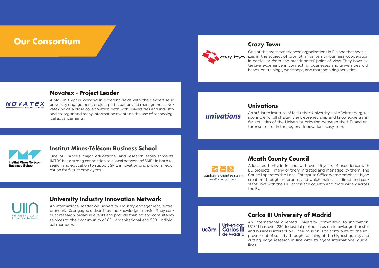### **Our Consortium and the construction of the construction of the construction of the crazy Town**

crazy town

#### **Institut Mines-Télécom Business School**

One of France's major educational and research establishments. IMTBS has a strong connection to a local network of SMEs in both research and education to support SME innovation and providing education for future employees.



One of the most experienced organizations in Finland that specializes in the subject of promoting university-business-cooperation, in particular, from the practitioners' point of view. They have extensive experience in connecting businesses and universities with hands-on trainings, workshops, and matchmaking activities.

#### **Univations**

An affiliated institute of M.-Luther-University Halle-Wittenberg, responsible for all strategic entrepreneurship and knowledge transfer activities of the University, bridging between the HEI and enterprise sector in the regional innovation ecosystem.



#### **Carlos III University of Madrid**

An international oriented university, committed to innovation. UC3M has over 230 industrial partnerships on knowledge transfer and business interaction. Their mission is to contribute to the improvement of society through teaching of the highest quality and cutting-edge research in line with stringent international guidelines.

**Meath County Council**

A local authority in Ireland, with over 15 years of experience with EU projects – many of them initiated and managed by them. The Council operates the Local Enterprise Office whose emphasis is job creation through enterprise, and which maintains direct and constant links with the HEI across the country and more widely across the EU.



#### **Novatex - Project Leader**



A SME in Cyprus, working in different fields with their expertise in university engagement, project participation and management. Novatex holds a close collaboration both with universities and industry and co-organised many information events on the use of technological advancements.

univations

#### **University Industry Innovation Network**

An international leader on university-industry engagement, entrepreneurial & engaged universities and knowledge transfer. They conduct research, organise events and provide training and consultancy services to their community of 80+ organisational and 500+ individual members.